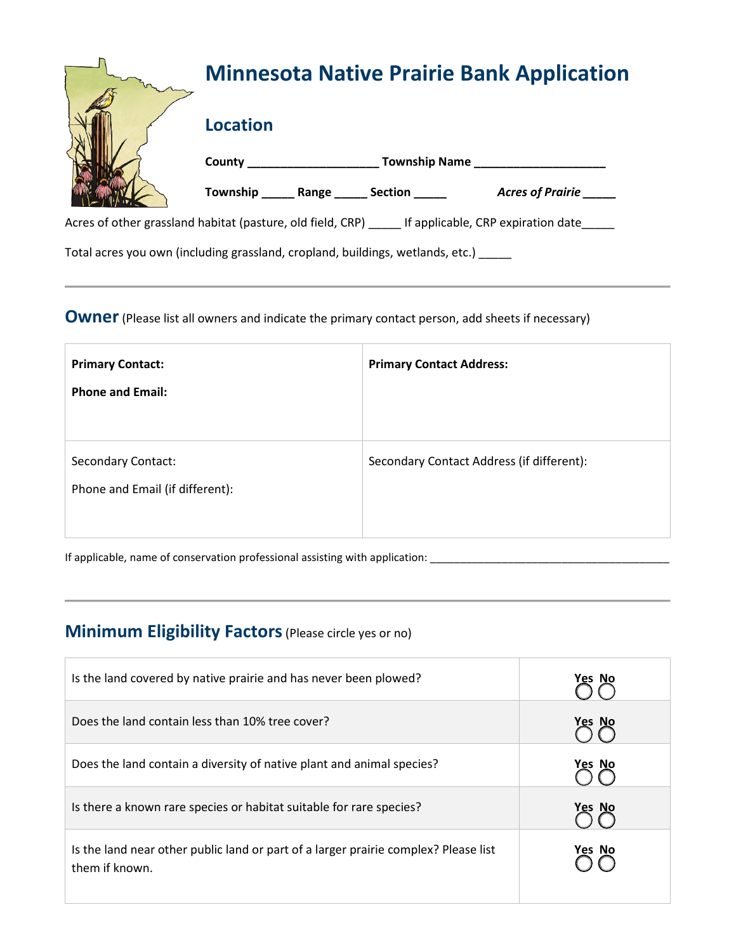|  | <b>Minnesota Native Prairie Bank Application</b> |  |                        |                                                                                               |  |
|--|--------------------------------------------------|--|------------------------|-----------------------------------------------------------------------------------------------|--|
|  | <b>Location</b>                                  |  |                        |                                                                                               |  |
|  | <b>Township Name</b>                             |  |                        |                                                                                               |  |
|  |                                                  |  | Township Range Section | <b>Acres of Prairie</b>                                                                       |  |
|  |                                                  |  |                        | Acres of other grassland habitat (pasture, old field, CRP) If applicable, CRP expiration date |  |

Total acres you own (including grassland, cropland, buildings, wetlands, etc.) \_\_\_\_\_

### **Owner** (Please list all owners and indicate the primary contact person, add sheets if necessary)

| <b>Primary Contact:</b><br><b>Phone and Email:</b>           | <b>Primary Contact Address:</b>           |
|--------------------------------------------------------------|-------------------------------------------|
| <b>Secondary Contact:</b><br>Phone and Email (if different): | Secondary Contact Address (if different): |

If applicable, name of conservation professional assisting with application: \_\_\_\_\_\_\_\_\_\_\_\_\_\_\_\_\_\_\_\_\_\_\_\_\_\_\_\_\_\_\_\_\_\_\_\_\_\_\_\_

# **Minimum Eligibility Factors**(Please circle yes or no)

| Is the land covered by native prairie and has never been plowed?                                      | Yes No |
|-------------------------------------------------------------------------------------------------------|--------|
| Does the land contain less than 10% tree cover?                                                       | Yes No |
| Does the land contain a diversity of native plant and animal species?                                 | Yes No |
| Is there a known rare species or habitat suitable for rare species?                                   | Yes No |
| Is the land near other public land or part of a larger prairie complex? Please list<br>them if known. | Yes No |